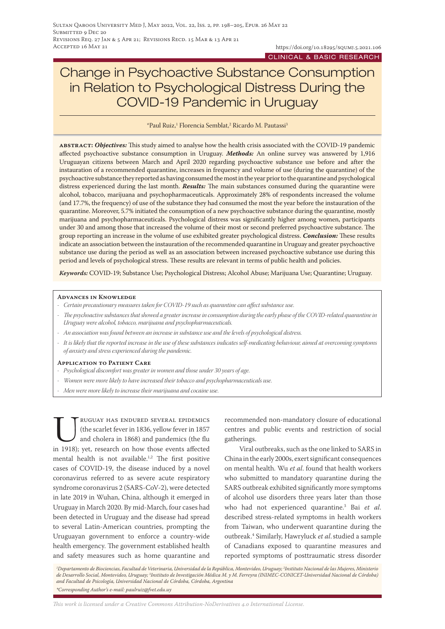# Change in Psychoactive Substance Consumption in Relation to Psychological Distress During the COVID-19 Pandemic in Uruguay

\*Paul Ruiz,1 Florencia Semblat,2 Ricardo M. Pautassi3

**abstract:** *Objectives:* This study aimed to analyse how the health crisis associated with the COVID-19 pandemic affected psychoactive substance consumption in Uruguay. *Methods:* An online survey was answered by 1,916 Uruguayan citizens between March and April 2020 regarding psychoactive substance use before and after the instauration of a recommended quarantine, increases in frequency and volume of use (during the quarantine) of the psychoactive substance they reported as having consumed the most in the year prior to the quarantine and psychological distress experienced during the last month. *Results:* The main substances consumed during the quarantine were alcohol, tobacco, marijuana and psychopharmaceuticals. Approximately 28% of respondents increased the volume (and 17.7%, the frequency) of use of the substance they had consumed the most the year before the instauration of the quarantine. Moreover, 5.7% initiated the consumption of a new psychoactive substance during the quarantine, mostly marijuana and psychopharmaceuticals. Psychological distress was significantly higher among women, participants under 30 and among those that increased the volume of their most or second preferred psychoactive substance. The group reporting an increase in the volume of use exhibited greater psychological distress. *Conclusion:* These results indicate an association between the instauration of the recommended quarantine in Uruguay and greater psychoactive substance use during the period as well as an association between increased psychoactive substance use during this period and levels of psychological stress. These results are relevant in terms of public health and policies.

*Keywords:* COVID-19; Substance Use; Psychological Distress; Alcohol Abuse; Marijuana Use; Quarantine; Uruguay.

#### **Advances in Knowledge**

- *- Certain precautionary measures taken for COVID-19 such as quarantine can affect substance use.*
- *- The psychoactive substances that showed a greater increase in consumption during the early phase of the COVID-related quarantine in Uruguay were alcohol, tobacco, marijuana and psychopharmaceuticals.*
- *- An association was found between an increase in substance use and the levels of psychological distress.*
- *- It is likely that the reported increase in the use of these substances indicates self-medicating behaviour, aimed at overcoming symptoms of anxiety and stress experienced during the pandemic.*

#### **Application to Patient Care**

- *- Psychological discomfort was greater in women and those under 30 years of age.*
- *- Women were more likely to have increased their tobacco and psychopharmaceuticals use.*
- *- Men were more likely to increase their marijuana and cocaine use.*

EV RUGUAY HAS ENDURED SEVERAL EPIDEMICS<br>
(the scarlet fever in 1836, yellow fever in 1857)<br>
and cholera in 1868) and pandemics (the flu<br>
in 1918): vet. research on how those events affected (the scarlet fever in 1836, yellow fever in 1857 and cholera in 1868) and pandemics (the flu in 1918); yet, research on how those events affected mental health is not available.<sup>1,2</sup> The first positive cases of COVID-19, the disease induced by a novel coronavirus referred to as severe acute respiratory syndrome coronavirus 2 (SARS-CoV-2), were detected in late 2019 in Wuhan, China, although it emerged in Uruguay in March 2020. By mid-March, four cases had been detected in Uruguay and the disease had spread to several Latin-American countries, prompting the Uruguayan government to enforce a country-wide health emergency. The government established health and safety measures such as home quarantine and

recommended non-mandatory closure of educational centres and public events and restriction of social gatherings.

Viral outbreaks, such as the one linked to SARS in China in the early 2000s, exert significant consequences on mental health. Wu *et al*. found that health workers who submitted to mandatory quarantine during the SARS outbreak exhibited significantly more symptoms of alcohol use disorders three years later than those who had not experienced quarantine.3 Bai *et al*. described stress-related symptoms in health workers from Taiwan, who underwent quarantine during the outbreak.4 Similarly, Hawryluck *et al*.studied a sample of Canadians exposed to quarantine measures and reported symptoms of posttraumatic stress disorder

*1 Departamento de Biociencias, Facultad de Veterinaria, Universidad de la República, Montevideo, Uruguay; 2 Instituto Nacional de las Mujeres, Ministerio*  de Desarrollo Social, Montevideo, Uruguay; <sup>3</sup>Instituto de Investigación Médica M. y M. Ferreyra (INIMEC-CONICET-Universidad Nacional de Córdoba) *and Facultad de Psicología, Universidad Nacional de Córdoba, Córdoba, Argentina \*Corresponding Author's e-mail: paulruiz@fvet.edu.uy*

*This work is licensed under a [Creative Commons Attribution-NoDerivatives 4.0 International License.](https://creativecommons.org/licenses/by-nd/4.0/)*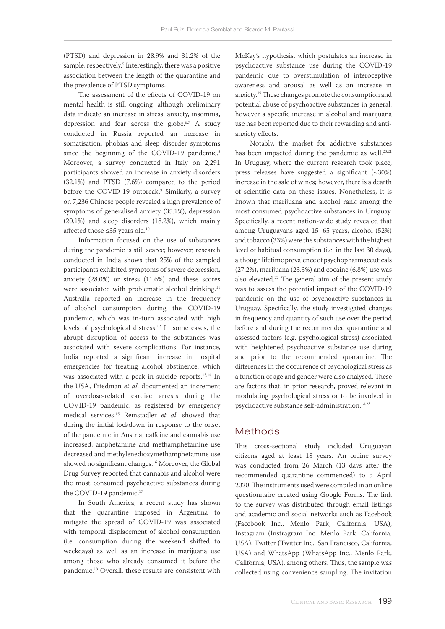(PTSD) and depression in 28.9% and 31.2% of the sample, respectively.5 Interestingly, there was a positive association between the length of the quarantine and the prevalence of PTSD symptoms.

The assessment of the effects of COVID-19 on mental health is still ongoing, although preliminary data indicate an increase in stress, anxiety, insomnia, depression and fear across the globe.<sup>6,7</sup> A study conducted in Russia reported an increase in somatisation, phobias and sleep disorder symptoms since the beginning of the COVID-19 pandemic.<sup>8</sup> Moreover, a survey conducted in Italy on 2,291 participants showed an increase in anxiety disorders (32.1%) and PTSD (7.6%) compared to the period before the COVID-19 outbreak.<sup>9</sup> Similarly, a survey on 7,236 Chinese people revealed a high prevalence of symptoms of generalised anxiety (35.1%), depression (20.1%) and sleep disorders (18.2%), which mainly affected those ≤35 years old.10

Information focused on the use of substances during the pandemic is still scarce; however, research conducted in India shows that 25% of the sampled participants exhibited symptoms of severe depression, anxiety (28.0%) or stress (11.6%) and these scores were associated with problematic alcohol drinking.<sup>11</sup> Australia reported an increase in the frequency of alcohol consumption during the COVID-19 pandemic, which was in-turn associated with high levels of psychological distress.12 In some cases, the abrupt disruption of access to the substances was associated with severe complications. For instance, India reported a significant increase in hospital emergencies for treating alcohol abstinence, which was associated with a peak in suicide reports.13,14 In the USA, Friedman *et al*. documented an increment of overdose-related cardiac arrests during the COVID-19 pandemic, as registered by emergency medical services.15 Reinstadler *et al*. showed that during the initial lockdown in response to the onset of the pandemic in Austria, caffeine and cannabis use increased, amphetamine and methamphetamine use decreased and methylenedioxymethamphetamine use showed no significant changes.16 Moreover, the Global Drug Survey reported that cannabis and alcohol were the most consumed psychoactive substances during the COVID-19 pandemic.<sup>17</sup>

In South America, a recent study has shown that the quarantine imposed in Argentina to mitigate the spread of COVID-19 was associated with temporal displacement of alcohol consumption (i.e. consumption during the weekend shifted to weekdays) as well as an increase in marijuana use among those who already consumed it before the pandemic.18 Overall, these results are consistent with McKay's hypothesis, which postulates an increase in psychoactive substance use during the COVID-19 pandemic due to overstimulation of interoceptive awareness and arousal as well as an increase in anxiety.19 These changes promote the consumption and potential abuse of psychoactive substances in general; however a specific increase in alcohol and marijuana use has been reported due to their rewarding and antianxiety effects.

Notably, the market for addictive substances has been impacted during the pandemic as well. $20,21$ In Uruguay, where the current research took place, press releases have suggested a significant (~30%) increase in the sale of wines; however, there is a dearth of scientific data on these issues. Nonetheless, it is known that marijuana and alcohol rank among the most consumed psychoactive substances in Uruguay. Specifically, a recent nation-wide study revealed that among Uruguayans aged 15–65 years, alcohol (52%) and tobacco (33%) were the substances with the highest level of habitual consumption (i.e. in the last 30 days), although lifetime prevalence of psychopharmaceuticals (27.2%), marijuana (23.3%) and cocaine (6.8%) use was also elevated.22 The general aim of the present study was to assess the potential impact of the COVID-19 pandemic on the use of psychoactive substances in Uruguay. Specifically, the study investigated changes in frequency and quantity of such use over the period before and during the recommended quarantine and assessed factors (e.g. psychological stress) associated with heightened psychoactive substance use during and prior to the recommended quarantine. The differences in the occurrence of psychological stress as a function of age and gender were also analysed. These are factors that, in prior research, proved relevant in modulating psychological stress or to be involved in psychoactive substance self-administration.18,23

# Methods

This cross-sectional study included Uruguayan citizens aged at least 18 years. An online survey was conducted from 26 March (13 days after the recommended quarantine commenced) to 5 April 2020. The instruments used were compiled in an online questionnaire created using Google Forms. The link to the survey was distributed through email listings and academic and social networks such as Facebook (Facebook Inc., Menlo Park, California, USA), Instagram (Instragram Inc. Menlo Park, California, USA), Twitter (Twitter Inc., San Francisco, California, USA) and WhatsApp (WhatsApp Inc., Menlo Park, California, USA), among others. Thus, the sample was collected using convenience sampling. The invitation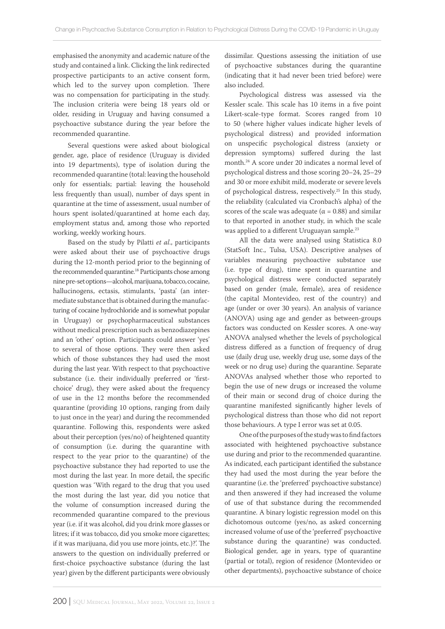emphasised the anonymity and academic nature of the study and contained a link. Clicking the link redirected prospective participants to an active consent form, which led to the survey upon completion. There was no compensation for participating in the study. The inclusion criteria were being 18 years old or older, residing in Uruguay and having consumed a psychoactive substance during the year before the recommended quarantine.

Several questions were asked about biological gender, age, place of residence (Uruguay is divided into 19 departments), type of isolation during the recommended quarantine (total: leaving the household only for essentials; partial: leaving the household less frequently than usual), number of days spent in quarantine at the time of assessment, usual number of hours spent isolated/quarantined at home each day, employment status and, among those who reported working, weekly working hours.

Based on the study by Pilatti *et al*., participants were asked about their use of psychoactive drugs during the 12-month period prior to the beginning of the recommended quarantine.<sup>18</sup> Participants chose among nine pre-set options—alcohol, marijuana, tobacco, cocaine, hallucinogens, ectasis, stimulants, 'pasta' (an intermediate substance that is obtained during the manufacturing of cocaine hydrochloride and is somewhat popular in Uruguay) or psychopharmaceutical substances without medical prescription such as benzodiazepines and an 'other' option. Participants could answer 'yes' to several of those options. They were then asked which of those substances they had used the most during the last year. With respect to that psychoactive substance (i.e. their individually preferred or 'firstchoice' drug), they were asked about the frequency of use in the 12 months before the recommended quarantine (providing 10 options, ranging from daily to just once in the year) and during the recommended quarantine. Following this, respondents were asked about their perception (yes/no) of heightened quantity of consumption (i.e. during the quarantine with respect to the year prior to the quarantine) of the psychoactive substance they had reported to use the most during the last year. In more detail, the specific question was 'With regard to the drug that you used the most during the last year, did you notice that the volume of consumption increased during the recommended quarantine compared to the previous year (i.e. if it was alcohol, did you drink more glasses or litres; if it was tobacco, did you smoke more cigarettes; if it was marijuana, did you use more joints, etc.)?'. The answers to the question on individually preferred or first-choice psychoactive substance (during the last year) given by the different participants were obviously dissimilar. Questions assessing the initiation of use of psychoactive substances during the quarantine (indicating that it had never been tried before) were also included.

Psychological distress was assessed via the Kessler scale. This scale has 10 items in a five point Likert-scale-type format. Scores ranged from 10 to 50 (where higher values indicate higher levels of psychological distress) and provided information on unspecific psychological distress (anxiety or depression symptoms) suffered during the last month.24 A score under 20 indicates a normal level of psychological distress and those scoring 20–24, 25–29 and 30 or more exhibit mild, moderate or severe levels of psychological distress, respectively.25 In this study, the reliability (calculated via Cronbach's alpha) of the scores of the scale was adequate ( $\alpha$  = 0.88) and similar to that reported in another study, in which the scale was applied to a different Uruguayan sample.23

All the data were analysed using Statistica 8.0 (StatSoft Inc., Tulsa, USA). Descriptive analyses of variables measuring psychoactive substance use (i.e. type of drug), time spent in quarantine and psychological distress were conducted separately based on gender (male, female), area of residence (the capital Montevideo, rest of the country) and age (under or over 30 years). An analysis of variance (ANOVA) using age and gender as between-groups factors was conducted on Kessler scores. A one-way ANOVA analysed whether the levels of psychological distress differed as a function of frequency of drug use (daily drug use, weekly drug use, some days of the week or no drug use) during the quarantine. Separate ANOVAs analysed whether those who reported to begin the use of new drugs or increased the volume of their main or second drug of choice during the quarantine manifested significantly higher levels of psychological distress than those who did not report those behaviours. A type I error was set at 0.05.

One of the purposes of the study was to find factors associated with heightened psychoactive substance use during and prior to the recommended quarantine. As indicated, each participant identified the substance they had used the most during the year before the quarantine (i.e. the 'preferred' psychoactive substance) and then answered if they had increased the volume of use of that substance during the recommended quarantine. A binary logistic regression model on this dichotomous outcome (yes/no, as asked concerning increased volume of use of the 'preferred' psychoactive substance during the quarantine) was conducted. Biological gender, age in years, type of quarantine (partial or total), region of residence (Montevideo or other departments), psychoactive substance of choice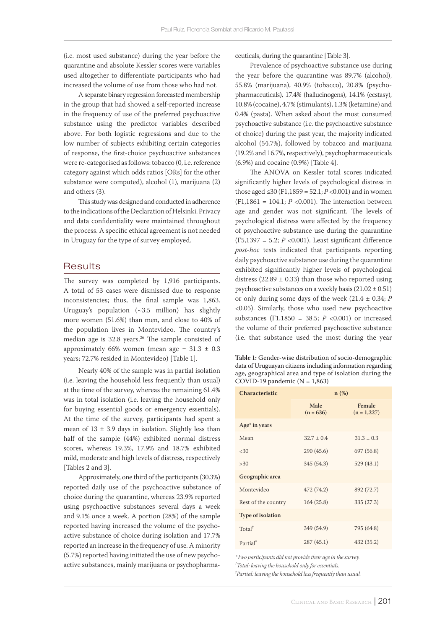(i.e. most used substance) during the year before the quarantine and absolute Kessler scores were variables used altogether to differentiate participants who had increased the volume of use from those who had not.

A separate binary regression forecasted membership in the group that had showed a self-reported increase in the frequency of use of the preferred psychoactive substance using the predictor variables described above. For both logistic regressions and due to the low number of subjects exhibiting certain categories of response, the first-choice psychoactive substances were re-categorised as follows: tobacco (0, i.e. reference category against which odds ratios [ORs] for the other substance were computed), alcohol (1), marijuana (2) and others (3).

This study was designed and conducted in adherence to the indications of the Declaration of Helsinki. Privacy and data confidentiality were maintained throughout the process. A specific ethical agreement is not needed in Uruguay for the type of survey employed.

# **Results**

The survey was completed by 1,916 participants. A total of 53 cases were dismissed due to response inconsistencies; thus, the final sample was 1,863. Uruguay's population (~3.5 million) has slightly more women (51.6%) than men, and close to 40% of the population lives in Montevideo. The country's median age is  $32.8$  years.<sup>26</sup> The sample consisted of approximately 66% women (mean age =  $31.3 \pm 0.3$ years; 72.7% resided in Montevideo) [Table 1].

Nearly 40% of the sample was in partial isolation (i.e. leaving the household less frequently than usual) at the time of the survey, whereas the remaining 61.4% was in total isolation (i.e. leaving the household only for buying essential goods or emergency essentials). At the time of the survey, participants had spent a mean of  $13 \pm 3.9$  days in isolation. Slightly less than half of the sample (44%) exhibited normal distress scores, whereas 19.3%, 17.9% and 18.7% exhibited mild, moderate and high levels of distress, respectively [Tables 2 and 3].

Approximately, one third of the participants (30.3%) reported daily use of the psychoactive substance of choice during the quarantine, whereas 23.9% reported using psychoactive substances several days a week and 9.1% once a week. A portion (28%) of the sample reported having increased the volume of the psychoactive substance of choice during isolation and 17.7% reported an increase in the frequency of use. A minority (5.7%) reported having initiated the use of new psychoactive substances, mainly marijuana or psychopharmaceuticals, during the quarantine [Table 3].

Prevalence of psychoactive substance use during the year before the quarantine was 89.7% (alcohol), 55.8% (marijuana), 40.9% (tobacco), 20.8% (psychopharmaceuticals), 17.4% (hallucinogens), 14.1% (ecstasy), 10.8% (cocaine), 4.7% (stimulants), 1.3% (ketamine) and 0.4% (pasta). When asked about the most consumed psychoactive substance (i.e. the psychoactive substance of choice) during the past year, the majority indicated alcohol (54.7%), followed by tobacco and marijuana (19.2% and 16.7%, respectively), psychopharmaceuticals (6.9%) and cocaine (0.9%) [Table 4].

The ANOVA on Kessler total scores indicated significantly higher levels of psychological distress in those aged ≤30 (F1,1859 = 52.1;  $P$  <0.001) and in women (F1,1861 = 104.1;  $P$  <0.001). The interaction between age and gender was not significant. The levels of psychological distress were affected by the frequency of psychoactive substance use during the quarantine (F5,1397 = 5.2; *P* <0.001). Least significant difference *post-hoc* tests indicated that participants reporting daily psychoactive substance use during the quarantine exhibited significantly higher levels of psychological distress (22.89  $\pm$  0.33) than those who reported using psychoactive substances on a weekly basis  $(21.02 \pm 0.51)$ or only during some days of the week (21.4 ± 0.34; *P* <0.05). Similarly, those who used new psychoactive substances (F1,1850 = 38.5; *P* <0.001) or increased the volume of their preferred psychoactive substance (i.e. that substance used the most during the year

**Table 1:** Gender-wise distribution of socio-demographic data of Uruguayan citizens including information regarding age, geographical area and type of isolation during the COVID-19 pandemic ( $N = 1,863$ )

| <b>Characteristic</b>    |                     | $n(\%)$                 |
|--------------------------|---------------------|-------------------------|
|                          | Male<br>$(n = 636)$ | Female<br>$(n = 1,227)$ |
| Age* in years            |                     |                         |
| Mean                     | $32.7 \pm 0.4$      | $31.3 \pm 0.3$          |
| <30                      | 290 (45.6)          | 697 (56.8)              |
| >30                      | 345 (54.3)          | 529(43.1)               |
| Geographic area          |                     |                         |
| Montevideo               | 472 (74.2)          | 892 (72.7)              |
| Rest of the country      | 164(25.8)           | 335 (27.3)              |
| <b>Type of isolation</b> |                     |                         |
| Total <sup>†</sup>       | 349 (54.9)          | 795 (64.8)              |
| Partial <sup>#</sup>     | 287(45.1)           | 432 (35.2)              |

*\*Two participants did not provide their age in the survey. † Total: leaving the household only for essentials.*

*‡ Partial: leaving the household less frequently than usual.*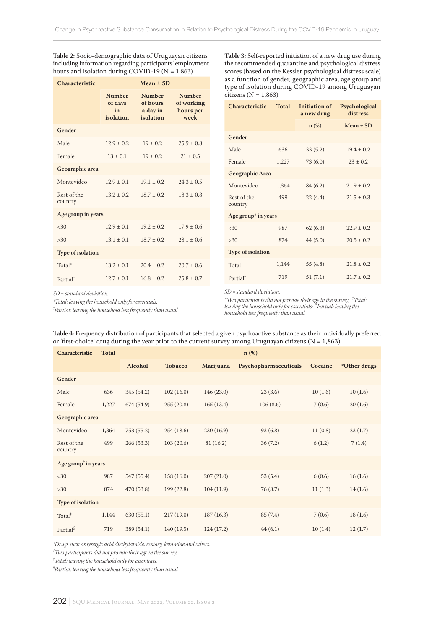**Table 2:** Socio-demographic data of Uruguayan citizens including information regarding participants' employment hours and isolation during COVID-19 ( $N = 1,863$ )

| Characteristic           | $Mean \pm SD$                               |                                                    |                                                  |  |  |
|--------------------------|---------------------------------------------|----------------------------------------------------|--------------------------------------------------|--|--|
|                          | <b>Number</b><br>of days<br>in<br>isolation | <b>Number</b><br>of hours<br>a day in<br>isolation | <b>Number</b><br>of working<br>hours per<br>week |  |  |
| Gender                   |                                             |                                                    |                                                  |  |  |
| Male                     | $12.9 + 0.2$                                | $19 \pm 0.2$                                       | $25.9 \pm 0.8$                                   |  |  |
| Female                   | $13 + 0.1$                                  | $19 + 0.2$                                         | $21 + 0.5$                                       |  |  |
| Geographic area          |                                             |                                                    |                                                  |  |  |
| Montevideo               | $12.9 + 0.1$                                | $19.1 + 0.2$                                       | $24.3 + 0.5$                                     |  |  |
| Rest of the<br>country   | $13.2 + 0.2$                                | $18.7 + 0.2$                                       | $18.3 + 0.8$                                     |  |  |
| Age group in years       |                                             |                                                    |                                                  |  |  |
| <30                      | $12.9 + 0.1$                                | $19.2 + 0.2$                                       | $17.9 + 0.6$                                     |  |  |
| >30                      | $13.1 + 0.1$                                | $18.7 + 0.2$                                       | $28.1 + 0.6$                                     |  |  |
| <b>Type of isolation</b> |                                             |                                                    |                                                  |  |  |
| Total*                   | $13.2 + 0.1$                                | $20.4 + 0.2$                                       | $20.7 + 0.6$                                     |  |  |
| Partial <sup>+</sup>     | $12.7 + 0.1$                                | $16.8 + 0.2$                                       | $25.8 + 0.7$                                     |  |  |

**Table 3:** Self-reported initiation of a new drug use during the recommended quarantine and psychological distress scores (based on the Kessler psychological distress scale) as a function of gender, geographic area, age group and type of isolation during COVID-19 among Uruguayan citizens ( $N = 1,863$ )

| <b>Characteristic</b>    | Total | Initiation of<br>a new drug | Psychological<br>distress |  |  |  |
|--------------------------|-------|-----------------------------|---------------------------|--|--|--|
|                          |       |                             | $Mean + SD$               |  |  |  |
| Gender                   |       |                             |                           |  |  |  |
| Male                     | 636   | 33(5.2)                     | $19.4 + 0.2$              |  |  |  |
| Female                   | 1,227 | 73(6.0)                     | $23 + 0.2$                |  |  |  |
| Geographic Area          |       |                             |                           |  |  |  |
| Montevideo               | 1.364 | 84(6.2)                     | $21.9 + 0.2$              |  |  |  |
| Rest of the<br>country   | 499   | 22(4.4)                     | $21.5 \pm 0.3$            |  |  |  |
| Age group* in years      |       |                             |                           |  |  |  |
| <30                      | 987   | 62(6.3)                     | $22.9 + 0.2$              |  |  |  |
| >30                      | 874   | 44(5.0)                     | $20.5 + 0.2$              |  |  |  |
| <b>Type of isolation</b> |       |                             |                           |  |  |  |
| Total <sup>†</sup>       | 1,144 | 55 $(4.8)$                  | $21.8 + 0.2$              |  |  |  |
| Partial <sup>#</sup>     | 719   | 51(7.1)                     | $21.7 + 0.2$              |  |  |  |

*SD = standard deviation.*

*\*Total: leaving the household only for essentials.*

*† Partial: leaving the household less frequently than usual.*

*SD = standard deviation.*

*\*Two participants did not provide their age in the survey; † Total: leaving the household only for essentials; ‡ Partial: leaving the household less frequently than usual.* 

| Characteristic                                     | <b>Total</b> | $n$ (%)    |                |           |                       |         |              |
|----------------------------------------------------|--------------|------------|----------------|-----------|-----------------------|---------|--------------|
|                                                    |              | Alcohol    | <b>Tobacco</b> | Marijuana | Psychopharmaceuticals | Cocaine | *Other drugs |
| Gender                                             |              |            |                |           |                       |         |              |
| Male                                               | 636          | 345 (54.2) | 102(16.0)      | 146(23.0) | 23(3.6)               | 10(1.6) | 10(1.6)      |
| Female                                             | 1,227        | 674 (54.9) | 255(20.8)      | 165(13.4) | 106(8.6)              | 7(0.6)  | 20(1.6)      |
| Geographic area                                    |              |            |                |           |                       |         |              |
| Montevideo                                         | 1,364        | 753 (55.2) | 254(18.6)      | 230(16.9) | 93(6.8)               | 11(0.8) | 23(1.7)      |
| Rest of the<br>country                             | 499          | 266(53.3)  | 103(20.6)      | 81(16.2)  | 36(7.2)               | 6(1.2)  | 7(1.4)       |
| Age group <sup><math>\dagger</math></sup> in years |              |            |                |           |                       |         |              |
| <30                                                | 987          | 547 (55.4) | 158 (16.0)     | 207(21.0) | 53(5.4)               | 6(0.6)  | 16(1.6)      |
| >30                                                | 874          | 470 (53.8) | 199 (22.8)     | 104(11.9) | 76 (8.7)              | 11(1.3) | 14(1.6)      |
| Type of isolation                                  |              |            |                |           |                       |         |              |
| Total <sup>#</sup>                                 | 1,144        | 630(55.1)  | 217(19.0)      | 187(16.3) | 85 (7.4)              | 7(0.6)  | 18(1.6)      |
| Partial <sup>§</sup>                               | 719          | 389 (54.1) | 140 (19.5)     | 124(17.2) | 44(6.1)               | 10(1.4) | 12(1.7)      |

**Table 4:** Frequency distribution of participants that selected a given psychoactive substance as their individually preferred or 'first-choice' drug during the year prior to the current survey among Uruguayan citizens ( $N = 1,863$ )

*\*Drugs such as lysergic acid diethylamide, ecstasy, ketamine and others.*

*† Two participants did not provide their age in the survey.*

*‡ Total: leaving the household only for essentials.*

*§ Partial: leaving the household less frequently than usual.*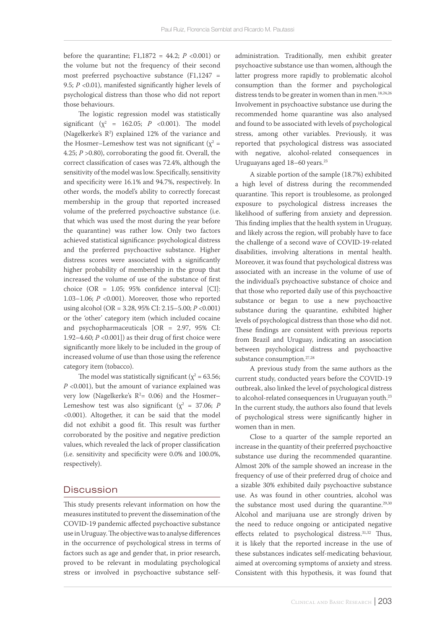before the quarantine;  $F1,1872 = 44.2; P < 0.001$  or the volume but not the frequency of their second most preferred psychoactive substance (F1,1247 = 9.5; *P* <0.01), manifested significantly higher levels of psychological distress than those who did not report those behaviours.

The logistic regression model was statistically significant ( $\chi^2$  = 162.05; *P* <0.001). The model (Nagelkerke's  $\mathbb{R}^2$ ) explained 12% of the variance and the Hosmer–Lemeshow test was not significant ( $\chi^2$  = 4.25; *P* >0.80), corroborating the good fit. Overall, the correct classification of cases was 72.4%, although the sensitivity of the model was low. Specifically, sensitivity and specificity were 16.1% and 94.7%, respectively. In other words, the model's ability to correctly forecast membership in the group that reported increased volume of the preferred psychoactive substance (i.e. that which was used the most during the year before the quarantine) was rather low. Only two factors achieved statistical significance: psychological distress and the preferred psychoactive substance. Higher distress scores were associated with a significantly higher probability of membership in the group that increased the volume of use of the substance of first choice (OR = 1.05; 95% confidence interval [CI]: 1.03–1.06; *P* <0.001). Moreover, those who reported using alcohol (OR = 3.28, 95% CI: 2.15–5.00; *P* <0.001) or the 'other' category item (which included cocaine and psychopharmaceuticals [OR = 2.97, 95% CI: 1.92–4.60; *P* <0.001]) as their drug of first choice were significantly more likely to be included in the group of increased volume of use than those using the reference category item (tobacco).

The model was statistically significant ( $\chi^2$  = 63.56; *P* <0.001), but the amount of variance explained was very low (Nagelkerke's  $\mathbb{R}^2$ = 0.06) and the Hosmer– Lemeshow test was also significant ( $\chi^2$  = 37.06; *P* <0.001). Altogether, it can be said that the model did not exhibit a good fit. This result was further corroborated by the positive and negative prediction values, which revealed the lack of proper classification (i.e. sensitivity and specificity were 0.0% and 100.0%, respectively).

# Discussion

This study presents relevant information on how the measures instituted to prevent the dissemination of the COVID-19 pandemic affected psychoactive substance use in Uruguay. The objective was to analyse differences in the occurrence of psychological stress in terms of factors such as age and gender that, in prior research, proved to be relevant in modulating psychological stress or involved in psychoactive substance selfadministration. Traditionally, men exhibit greater psychoactive substance use than women, although the latter progress more rapidly to problematic alcohol consumption than the former and psychological distress tends to be greater in women than in men.<sup>18,24,26</sup> Involvement in psychoactive substance use during the recommended home quarantine was also analysed and found to be associated with levels of psychological stress, among other variables. Previously, it was reported that psychological distress was associated with negative, alcohol-related consequences in Uruguayans aged 18-60 years.<sup>23</sup>

A sizable portion of the sample (18.7%) exhibited a high level of distress during the recommended quarantine. This report is troublesome, as prolonged exposure to psychological distress increases the likelihood of suffering from anxiety and depression. This finding implies that the health system in Uruguay, and likely across the region, will probably have to face the challenge of a second wave of COVID-19-related disabilities, involving alterations in mental health. Moreover, it was found that psychological distress was associated with an increase in the volume of use of the individual's psychoactive substance of choice and that those who reported daily use of this psychoactive substance or began to use a new psychoactive substance during the quarantine, exhibited higher levels of psychological distress than those who did not. These findings are consistent with previous reports from Brazil and Uruguay, indicating an association between psychological distress and psychoactive substance consumption.<sup>27,28</sup>

A previous study from the same authors as the current study, conducted years before the COVID-19 outbreak, also linked the level of psychological distress to alcohol-related consequences in Uruguayan youth.<sup>23</sup> In the current study, the authors also found that levels of psychological stress were significantly higher in women than in men.

Close to a quarter of the sample reported an increase in the quantity of their preferred psychoactive substance use during the recommended quarantine. Almost 20% of the sample showed an increase in the frequency of use of their preferred drug of choice and a sizable 30% exhibited daily psychoactive substance use. As was found in other countries, alcohol was the substance most used during the quarantine. $29,30$ Alcohol and marijuana use are strongly driven by the need to reduce ongoing or anticipated negative effects related to psychological distress.<sup>31,32</sup> Thus, it is likely that the reported increase in the use of these substances indicates self-medicating behaviour, aimed at overcoming symptoms of anxiety and stress. Consistent with this hypothesis, it was found that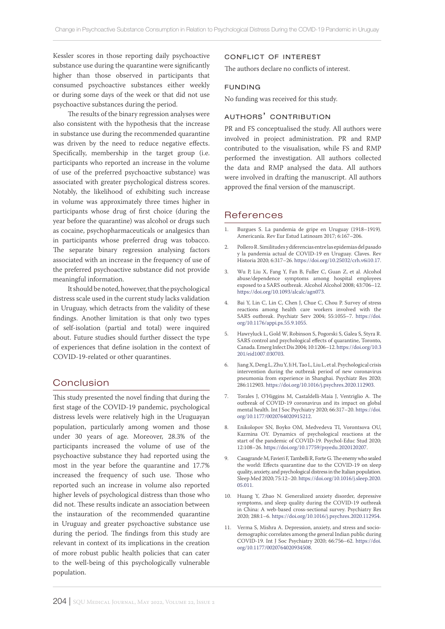Kessler scores in those reporting daily psychoactive substance use during the quarantine were significantly higher than those observed in participants that consumed psychoactive substances either weekly or during some days of the week or that did not use psychoactive substances during the period.

The results of the binary regression analyses were also consistent with the hypothesis that the increase in substance use during the recommended quarantine was driven by the need to reduce negative effects. Specifically, membership in the target group (i.e. participants who reported an increase in the volume of use of the preferred psychoactive substance) was associated with greater psychological distress scores. Notably, the likelihood of exhibiting such increase in volume was approximately three times higher in participants whose drug of first choice (during the year before the quarantine) was alcohol or drugs such as cocaine, psychopharmaceuticals or analgesics than in participants whose preferred drug was tobacco. The separate binary regression analysing factors associated with an increase in the frequency of use of the preferred psychoactive substance did not provide meaningful information.

It should be noted, however, that the psychological distress scale used in the current study lacks validation in Uruguay, which detracts from the validity of these findings. Another limitation is that only two types of self-isolation (partial and total) were inquired about. Future studies should further dissect the type of experiences that define isolation in the context of COVID-19-related or other quarantines.

# Conclusion

This study presented the novel finding that during the first stage of the COVID-19 pandemic, psychological distress levels were relatively high in the Uruguayan population, particularly among women and those under 30 years of age. Moreover, 28.3% of the participants increased the volume of use of the psychoactive substance they had reported using the most in the year before the quarantine and 17.7% increased the frequency of such use. Those who reported such an increase in volume also reported higher levels of psychological distress than those who did not. These results indicate an association between the instauration of the recommended quarantine in Uruguay and greater psychoactive substance use during the period. The findings from this study are relevant in context of its implications in the creation of more robust public health policies that can cater to the well-being of this psychologically vulnerable population.

## conflict of interest

The authors declare no conflicts of interest.

### funding

No funding was received for this study.

# authors' contribution

PR and FS conceptualised the study. All authors were involved in project administration. PR and RMP contributed to the visualisation, while FS and RMP performed the investigation. All authors collected the data and RMP analysed the data. All authors were involved in drafting the manuscript. All authors approved the final version of the manuscript.

# References

- 1. Burgues S. La pandemia de gripe en Uruguay (1918–1919). Americanía. Rev Eur Estud Latinoam 2017; 6:167–206.
- 2. Pollero R. Similitudes y diferencias entre las epidemias del pasado y la pandemia actual de COVID-19 en Uruguay. Claves. Rev Historia 2020; 6:317–26. [https://doi.org/10.25032/crh.v6i10.17.](https://doi.org/10.25032/crh.v6i10.17)
- 3. Wu P, Liu X, Fang Y, Fan B, Fuller C, Guan Z, et al. Alcohol abuse/dependence symptoms among hospital employees exposed to a SARS outbreak. Alcohol Alcohol 2008; 43:706–12. <https://doi.org/10.1093/alcalc/agn073>.
- 4. Bai Y, Lin C, Lin C, Chen J, Chue C, Chou P. Survey of stress reactions among health care workers involved with the SARS outbreak. Psychiatr Serv 2004; 55:1055–7. [https://doi.](https://doi.org/10.1176/appi.ps.55.9.1055) [org/10.1176/appi.ps.55.9.1055](https://doi.org/10.1176/appi.ps.55.9.1055).
- 5. Hawryluck L, Gold W, Robinson S, Pogorski S, Galea S, Styra R. SARS control and psychological effects of quarantine, Toronto, Canada. Emerg Infect Dis 2004; 10:1206–12. [https://doi.org/10.3](https://doi.org/10.3201/eid1007.030703) [201/eid1007.030703](https://doi.org/10.3201/eid1007.030703).
- 6. Jiang X, Deng L, Zhu Y, Ji H, Tao L, Liu L, et al. Psychological crisis intervention during the outbreak period of new coronavirus pneumonia from experience in Shanghai. Psychiatr Res 2020; 286:112903. [https://doi.org/10.1016/j.psychres.2020.112903.](https://doi.org/10.1016/j.psychres.2020.112903)
- 7. Torales J, O'Higgins M, Castaldelli-Maia J, Ventriglio A. The outbreak of COVID-19 coronavirus and its impact on global mental health. Int J Soc Psychiatry 2020; 66:317–20. [https://doi.](https://doi.org/10.1177/0020764020915212) [org/10.1177/0020764020915212.](https://doi.org/10.1177/0020764020915212)
- 8. Enikolopov SN, Boyko OM, Medvedeva TI, Vorontsova OU, Kazmina OY. Dynamics of psychological reactions at the start of the pandemic of COVID-19. Psychol-Educ Stud 2020; 12:108–26. [https://doi.org/10.17759/psyedu.2020120207.](https://doi.org/10.17759/psyedu.2020120207)
- 9. Casagrande M, Favieri F, Tambelli R, Forte G. The enemy who sealed the world: Effects quarantine due to the COVID-19 on sleep quality, anxiety, and psychological distress in the Italian population. Sleep Med 2020; 75:12–20. [https://doi.org/10.1016/j.sleep.2020.](https://doi.org/10.1016/j.sleep.2020.05.011) [05.011.](https://doi.org/10.1016/j.sleep.2020.05.011)
- 10. Huang Y, Zhao N. Generalized anxiety disorder, depressive symptoms, and sleep quality during the COVID-19 outbreak in China: A web-based cross-sectional survey. Psychiatry Res 2020; 288:1–6. [https://doi.org/10.1016/j.psychres.2020.112954.](https://doi.org/10.1016/j.psychres.2020.112954)
- 11. Verma S, Mishra A. Depression, anxiety, and stress and sociodemographic correlates among the general Indian public during COVID-19. Int J Soc Psychiatry 2020; 66:756–62. [https://doi.](https://doi.org/10.1177/0020764020934508) [org/10.1177/0020764020934508.](https://doi.org/10.1177/0020764020934508)